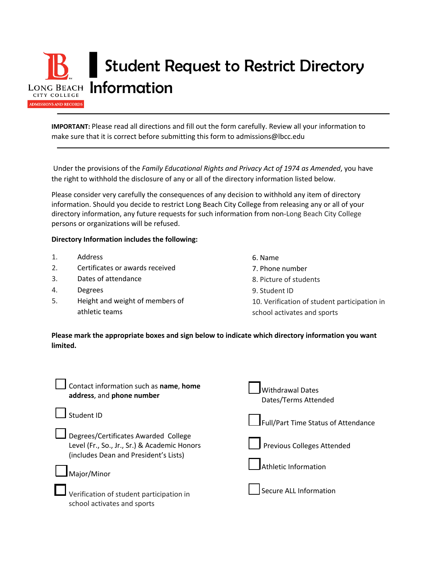

**IMPORTANT:** Please read all directions and fill out the form carefully. Review all your information to make sure that it is correct before submitting this form to admissions@lbcc.edu

Under the provisions of the *Family Educational Rights and Privacy Act of 1974 as Amended*, you have the right to withhold the disclosure of any or all of the directory information listed below.

Please consider very carefully the consequences of any decision to withhold any item of directory information. Should you decide to restrict Long Beach City College from releasing any or all of your directory information, any future requests for such information from non-Long Beach City College persons or organizations will be refused.

## **Directory Information includes the following:**

- 1. Address
- 2. Certificates or awards received
- 3. Dates of attendance
- 4. Degrees
- 5. Height and weight of members of athletic teams
- 6. Name
- 7. Phone number
- 8. Picture of students
- 9. Student ID
- 10. Verification of student participation in school activates and sports

## **Please mark the appropriate boxes and sign below to indicate which directory information you want limited.**

| Contact information such as name, home<br>address, and phone number                                                                          | <b>Withdrawal Dates</b><br>Dates/Terms Attended           |
|----------------------------------------------------------------------------------------------------------------------------------------------|-----------------------------------------------------------|
| Student ID                                                                                                                                   | Full/Part Time Status of Attendance                       |
| Degrees/Certificates Awarded College<br>Level (Fr., So., Jr., Sr.) & Academic Honors<br>(includes Dean and President's Lists)<br>Major/Minor | Previous Colleges Attended<br><b>Athletic Information</b> |
| Verification of student participation in<br>school activates and sports                                                                      | Secure ALL Information                                    |